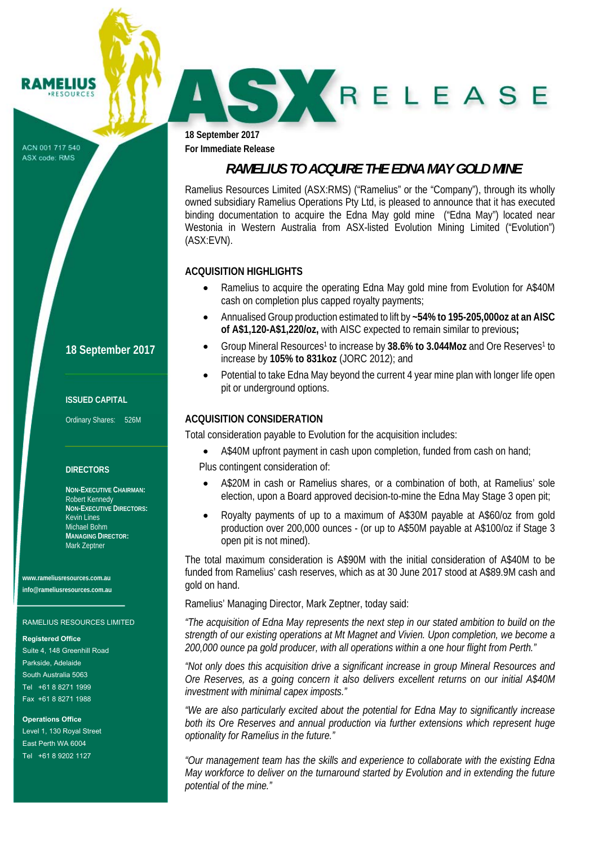#### ACN 001 717 540 ASX code: RMS

**RAMELIUS RESOURCES** 

> **18 September 2017 For Immediate Release**

# *RAMELIUS TO ACQUIRE THE EDNA MAY GOLD MINE*

SKRELEASE

Ramelius Resources Limited (ASX:RMS) ("Ramelius" or the "Company"), through its wholly owned subsidiary Ramelius Operations Pty Ltd, is pleased to announce that it has executed binding documentation to acquire the Edna May gold mine ("Edna May") located near Westonia in Western Australia from ASX-listed Evolution Mining Limited ("Evolution") (ASX:EVN).

### **ACQUISITION HIGHLIGHTS**

- Ramelius to acquire the operating Edna May gold mine from Evolution for A\$40M cash on completion plus capped royalty payments;
- Annualised Group production estimated to lift by **~54% to 195-205,000oz at an AISC of A\$1,120-A\$1,220/oz,** with AISC expected to remain similar to previous**;**
- Group Mineral Resources1 to increase by **38.6% to 3.044Moz** and Ore Reserves1 to increase by **105% to 831koz** (JORC 2012); and
- Potential to take Edna May beyond the current 4 year mine plan with longer life open pit or underground options.

### **ACQUISITION CONSIDERATION**

Total consideration payable to Evolution for the acquisition includes:

- A\$40M upfront payment in cash upon completion, funded from cash on hand;
- Plus contingent consideration of:
- A\$20M in cash or Ramelius shares, or a combination of both, at Ramelius' sole election, upon a Board approved decision-to-mine the Edna May Stage 3 open pit;
- Royalty payments of up to a maximum of A\$30M payable at A\$60/oz from gold production over 200,000 ounces - (or up to A\$50M payable at A\$100/oz if Stage 3 open pit is not mined).

The total maximum consideration is A\$90M with the initial consideration of A\$40M to be funded from Ramelius' cash reserves, which as at 30 June 2017 stood at A\$89.9M cash and gold on hand.

Ramelius' Managing Director, Mark Zeptner, today said:

*"The acquisition of Edna May represents the next step in our stated ambition to build on the strength of our existing operations at Mt Magnet and Vivien. Upon completion, we become a 200,000 ounce pa gold producer, with all operations within a one hour flight from Perth."* 

*"Not only does this acquisition drive a significant increase in group Mineral Resources and Ore Reserves, as a going concern it also delivers excellent returns on our initial A\$40M investment with minimal capex imposts."* 

*"We are also particularly excited about the potential for Edna May to significantly increase both its Ore Reserves and annual production via further extensions which represent huge optionality for Ramelius in the future."* 

*"Our management team has the skills and experience to collaborate with the existing Edna May workforce to deliver on the turnaround started by Evolution and in extending the future potential of the mine."*

### **18 September 2017**

#### **ISSUED CAPITAL**

Ordinary Shares: 526M

#### **DIRECTORS**

**NON-EXECUTIVE CHAIRMAN:**  Robert Kennedy **NON-EXECUTIVE DIRECTORS:**  Kevin Lines Michael Bohm **MANAGING DIRECTOR:**  Mark Zeptner

**www.rameliusresources.com.au info@rameliusresources.com.au** 

#### RAMELIUS RESOURCES LIMITED

#### **Registered Office**

Suite 4, 148 Greenhill Road Parkside, Adelaide South Australia 5063 Tel +61 8 8271 1999 Fax +61 8 8271 1988

**Operations Office**  Level 1, 130 Royal Street East Perth WA 6004 Tel +61 8 9202 1127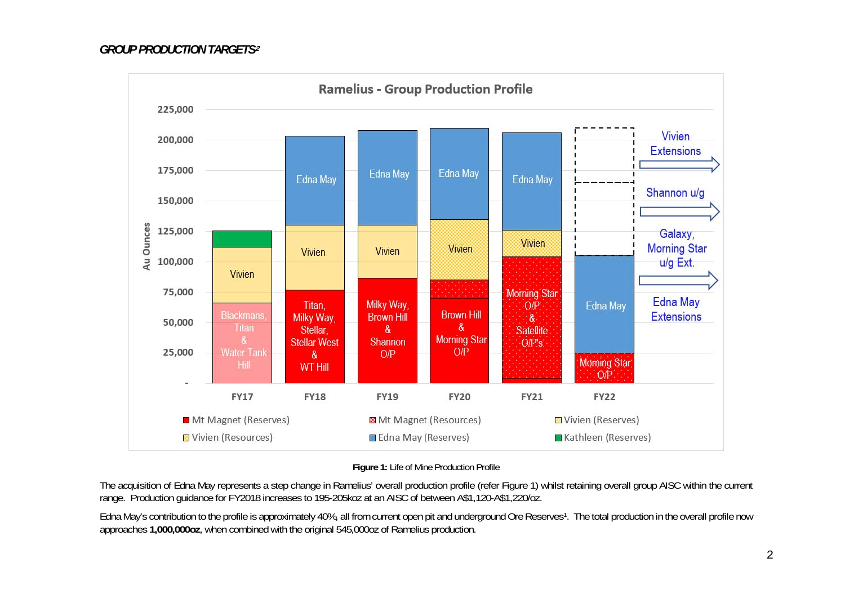

**Figure 1:** Life of Mine Production Profile

The acquisition of Edna May represents a step change in Ramelius' overall production profile (refer Figure 1) whilst retaining overall group AISC within the current range. Production guidance for FY2018 increases to 195-205koz at an AISC of between A\$1,120-A\$1,220/oz.

Edna May's contribution to the profile is approximately 40%, all from current open pit and underground Ore Reserves<sup>1</sup>. The total production in the overall profile now approaches **1,000,000oz**, when combined with the original 545,000oz of Ramelius production.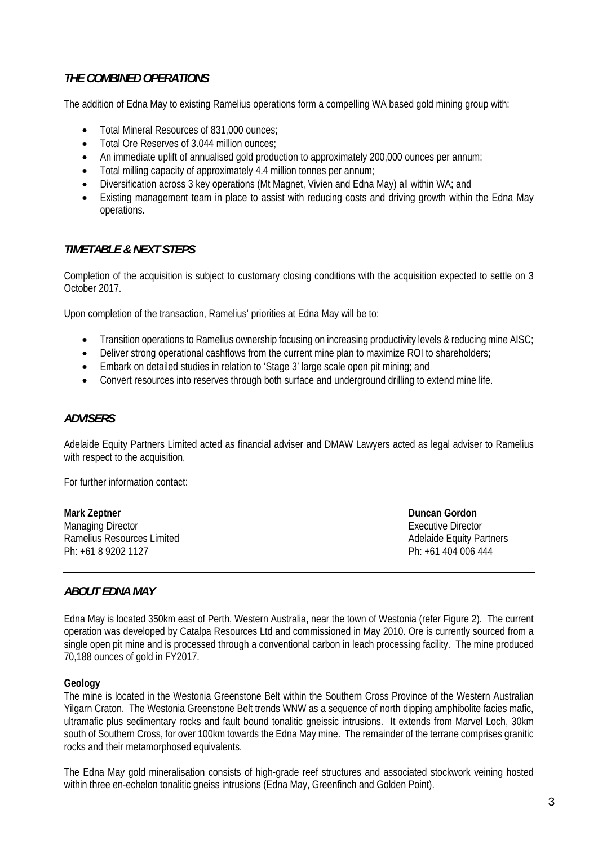### *THE COMBINED OPERATIONS*

The addition of Edna May to existing Ramelius operations form a compelling WA based gold mining group with:

- Total Mineral Resources of 831,000 ounces:
- Total Ore Reserves of 3.044 million ounces:
- An immediate uplift of annualised gold production to approximately 200,000 ounces per annum;
- Total milling capacity of approximately 4.4 million tonnes per annum;
- Diversification across 3 key operations (Mt Magnet, Vivien and Edna May) all within WA; and
- Existing management team in place to assist with reducing costs and driving growth within the Edna May operations.

### *TIMETABLE & NEXT STEPS*

Completion of the acquisition is subject to customary closing conditions with the acquisition expected to settle on 3 October 2017.

Upon completion of the transaction, Ramelius' priorities at Edna May will be to:

- Transition operations to Ramelius ownership focusing on increasing productivity levels & reducing mine AISC;
- Deliver strong operational cashflows from the current mine plan to maximize ROI to shareholders;
- Embark on detailed studies in relation to 'Stage 3' large scale open pit mining; and
- Convert resources into reserves through both surface and underground drilling to extend mine life.

### *ADVISERS*

Adelaide Equity Partners Limited acted as financial adviser and DMAW Lawyers acted as legal adviser to Ramelius with respect to the acquisition.

For further information contact:

| <b>Mark Zeptner</b>        | Duncan Gordon                   |
|----------------------------|---------------------------------|
| Managing Director          | Executive Director              |
| Ramelius Resources Limited | <b>Adelaide Equity Partners</b> |
| Ph: +61 8 9202 1127        | Ph: +61 404 006 444             |

### *ABOUT EDNA MAY*

Edna May is located 350km east of Perth, Western Australia, near the town of Westonia (refer Figure 2). The current operation was developed by Catalpa Resources Ltd and commissioned in May 2010. Ore is currently sourced from a single open pit mine and is processed through a conventional carbon in leach processing facility. The mine produced 70,188 ounces of gold in FY2017.

#### **Geology**

The mine is located in the Westonia Greenstone Belt within the Southern Cross Province of the Western Australian Yilgarn Craton. The Westonia Greenstone Belt trends WNW as a sequence of north dipping amphibolite facies mafic, ultramafic plus sedimentary rocks and fault bound tonalitic gneissic intrusions. It extends from Marvel Loch, 30km south of Southern Cross, for over 100km towards the Edna May mine. The remainder of the terrane comprises granitic rocks and their metamorphosed equivalents.

The Edna May gold mineralisation consists of high-grade reef structures and associated stockwork veining hosted within three en-echelon tonalitic gneiss intrusions (Edna May, Greenfinch and Golden Point).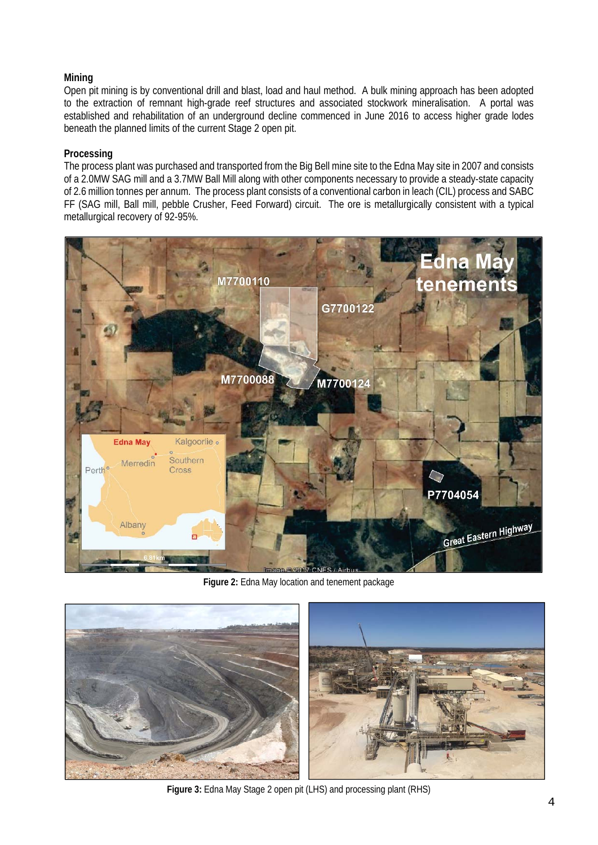### **Mining**

Open pit mining is by conventional drill and blast, load and haul method. A bulk mining approach has been adopted to the extraction of remnant high-grade reef structures and associated stockwork mineralisation. A portal was established and rehabilitation of an underground decline commenced in June 2016 to access higher grade lodes beneath the planned limits of the current Stage 2 open pit.

### **Processing**

The process plant was purchased and transported from the Big Bell mine site to the Edna May site in 2007 and consists of a 2.0MW SAG mill and a 3.7MW Ball Mill along with other components necessary to provide a steady-state capacity of 2.6 million tonnes per annum. The process plant consists of a conventional carbon in leach (CIL) process and SABC FF (SAG mill, Ball mill, pebble Crusher, Feed Forward) circuit. The ore is metallurgically consistent with a typical metallurgical recovery of 92-95%.



**Figure 2:** Edna May location and tenement package



**Figure 3:** Edna May Stage 2 open pit (LHS) and processing plant (RHS)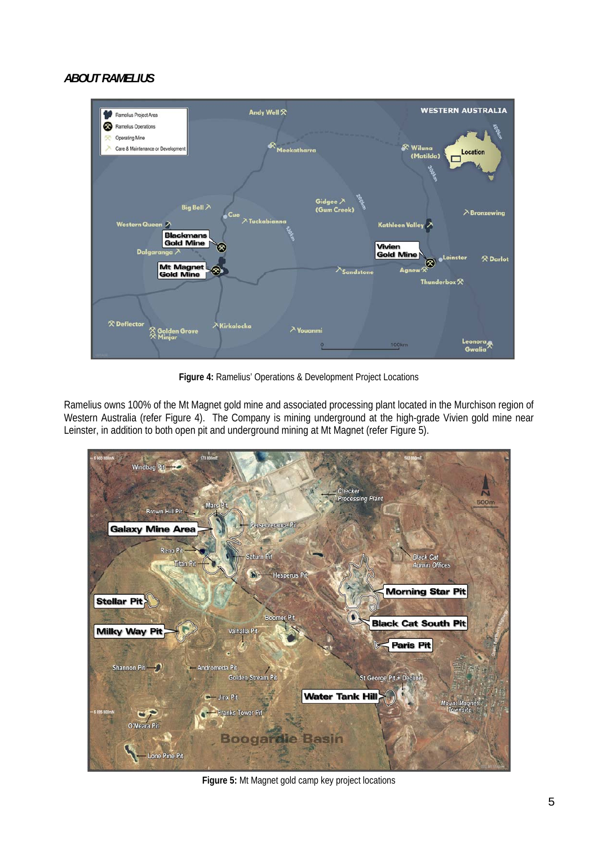## *ABOUT RAMELIUS*



**Figure 4:** Ramelius' Operations & Development Project Locations

Ramelius owns 100% of the Mt Magnet gold mine and associated processing plant located in the Murchison region of Western Australia (refer Figure 4). The Company is mining underground at the high-grade Vivien gold mine near Leinster, in addition to both open pit and underground mining at Mt Magnet (refer Figure 5).



**Figure 5:** Mt Magnet gold camp key project locations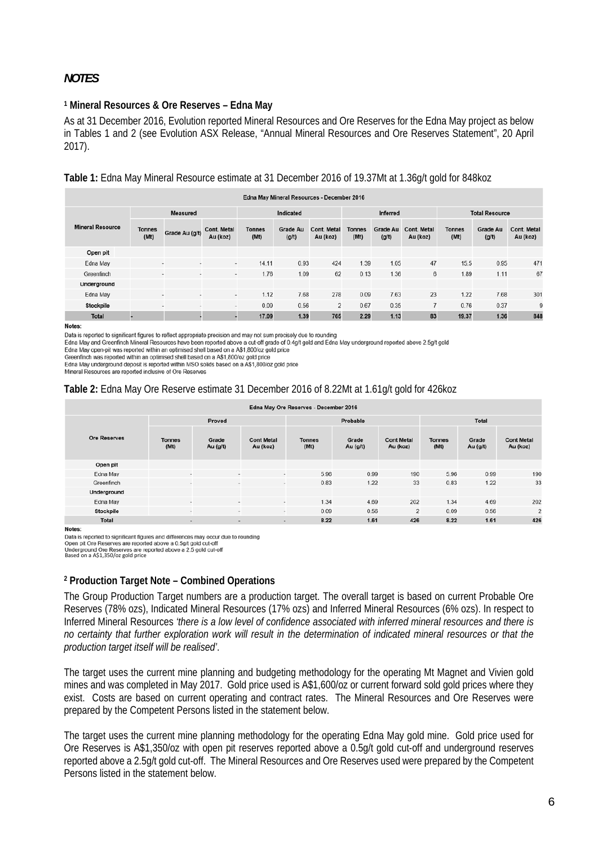### *NOTES*

#### **1 Mineral Resources & Ore Reserves – Edna May**

As at 31 December 2016, Evolution reported Mineral Resources and Ore Reserves for the Edna May project as below in Tables 1 and 2 (see Evolution ASX Release, "Annual Mineral Resources and Ore Reserves Statement", 20 April 2017).

#### **Table 1:** Edna May Mineral Resource estimate at 31 December 2016 of 19.37Mt at 1.36g/t gold for 848koz

| Edna May Mineral Resources - December 2016 |                       |                          |                                |                       |                          |                                |                       |                          |                                |                       |                          |                                |
|--------------------------------------------|-----------------------|--------------------------|--------------------------------|-----------------------|--------------------------|--------------------------------|-----------------------|--------------------------|--------------------------------|-----------------------|--------------------------|--------------------------------|
| <b>Mineral Resource</b>                    | <b>Measured</b>       |                          |                                | Indicated             |                          |                                | <b>Inferred</b>       |                          |                                | <b>Total Resource</b> |                          |                                |
|                                            | <b>Tonnes</b><br>(Mt) | Grade Au (g/t)           | <b>Cont. Metal</b><br>Au (koz) | <b>Tonnes</b><br>(Mt) | <b>Grade Au</b><br>(g/t) | <b>Cont. Metal</b><br>Au (koz) | <b>Tonnes</b><br>(Mt) | <b>Grade Au</b><br>(g/t) | <b>Cont. Metal</b><br>Au (koz) | <b>Tonnes</b><br>(Mt) | <b>Grade Au</b><br>(g/t) | <b>Cont. Metal</b><br>Au (koz) |
| Open pit                                   |                       |                          |                                |                       |                          |                                |                       |                          |                                |                       |                          |                                |
| Edna May                                   |                       | $\sim$<br>$\sim$         | $\sim$                         | 14.11                 | 0.93                     | 424                            | 1.39                  | 1.05                     | 47                             | 15.5                  | 0.95                     | 471                            |
| Greenfinch                                 |                       | $\overline{a}$<br>$\sim$ | $\sim$                         | 1.76                  | 1.09                     | 62                             | 0.13                  | 1.36                     | 6                              | 1.89                  | 1.11                     | 67                             |
| Underground                                |                       |                          |                                |                       |                          |                                |                       |                          |                                |                       |                          |                                |
| Edna May                                   |                       | ۰                        | $\,$                           | 1.12                  | 7.68                     | 278                            | 0.09                  | 7.63                     | 23                             | 1.22                  | 7.68                     | 301                            |
| <b>Stockpile</b>                           |                       | ٠<br>$\,$                | $\sim$                         | 0.09                  | 0.56                     | $\overline{2}$                 | 0.67                  | 0.35                     |                                | 0.76                  | 0.37                     | 9                              |
| <b>Total</b>                               |                       |                          |                                | 17.09                 | 1.39                     | 765                            | 2.29                  | 1.13                     | 83                             | 19.37                 | 1.36                     | 848                            |

Notes:

Data is reported to significant figures to reflect appropriate precision and may not sum precisely due to rounding

Edna May and Greenfinch Mineral Resources have been reported above a cut-off grade of 0.4g/t gold and Edna May underground reported above 2.5g/t gold

Edna May open-pit was reported within an optimised shell based on a A\$1,800/oz gold price

Greenfinch was reported within an optimised shell based on a A\$1,800/oz gold price Edna May underground deposit is reported within MSO solids based on a A\$1,800/oz gold price

Mineral Resources are reported inclusive of Ore Reserves

#### **Table 2:** Edna May Ore Reserve estimate 31 December 2016 of 8.22Mt at 1.61g/t gold for 426koz

| Edna May Ore Reserves - December 2016 |                          |                          |                               |                       |                     |                               |                       |                     |                               |  |  |
|---------------------------------------|--------------------------|--------------------------|-------------------------------|-----------------------|---------------------|-------------------------------|-----------------------|---------------------|-------------------------------|--|--|
| <b>Ore Reserves</b>                   |                          | Proved                   |                               |                       | Probable            |                               | Total                 |                     |                               |  |  |
|                                       | <b>Tonnes</b><br>(Mt)    | Grade<br>Au $(g/t)$      | <b>Cont Metal</b><br>Au (koz) | <b>Tonnes</b><br>(Mt) | Grade<br>Au $(g/t)$ | <b>Cont Metal</b><br>Au (koz) | <b>Tonnes</b><br>(Mt) | Grade<br>Au $(g/t)$ | <b>Cont Metal</b><br>Au (koz) |  |  |
| Open pit                              |                          |                          |                               |                       |                     |                               |                       |                     |                               |  |  |
| Edna May                              |                          | $\overline{a}$           | $\sim$                        | 5.96                  | 0.99                | 190                           | 5.96                  | 0.99                | 190                           |  |  |
| Greenfinch                            | -                        | ٠                        | $\sim$                        | 0.83                  | 1.22                | 33                            | 0.83                  | 1.22                | 33                            |  |  |
| Underground                           |                          |                          |                               |                       |                     |                               |                       |                     |                               |  |  |
| Edna May                              | $\overline{\phantom{a}}$ | ٠                        | $\overline{\phantom{a}}$      | 1.34                  | 4.69                | 202                           | 1.34                  | 4.69                | 202                           |  |  |
| Stockpile                             | $\overline{\phantom{a}}$ | $\overline{\phantom{a}}$ | $\sim$                        | 0.09                  | 0.56                | $\overline{2}$                | 0.09                  | 0.56                | $\overline{2}$                |  |  |
| <b>Total</b>                          | ۰                        | ٠                        | $\overline{\phantom{a}}$      | 8.22                  | 1.61                | 426                           | 8.22                  | 1.61                | 426                           |  |  |

**Notes:** 

Data is reported to significant figures and differences may occur due to rounding

Data is reported to assume an instance and university of the presences are reported above a 0.5g/t gold cut-off<br>Underground Ore Reserves are reported above a 2.5 gold cut-off<br>Based on a A\$1,350/oz gold price

#### **2 Production Target Note – Combined Operations**

The Group Production Target numbers are a production target. The overall target is based on current Probable Ore Reserves (78% ozs), Indicated Mineral Resources (17% ozs) and Inferred Mineral Resources (6% ozs). In respect to Inferred Mineral Resources *'there is a low level of confidence associated with inferred mineral resources and there is no certainty that further exploration work will result in the determination of indicated mineral resources or that the production target itself will be realised'*.

The target uses the current mine planning and budgeting methodology for the operating Mt Magnet and Vivien gold mines and was completed in May 2017. Gold price used is A\$1,600/oz or current forward sold gold prices where they exist. Costs are based on current operating and contract rates. The Mineral Resources and Ore Reserves were prepared by the Competent Persons listed in the statement below.

The target uses the current mine planning methodology for the operating Edna May gold mine. Gold price used for Ore Reserves is A\$1,350/oz with open pit reserves reported above a 0.5g/t gold cut-off and underground reserves reported above a 2.5g/t gold cut-off. The Mineral Resources and Ore Reserves used were prepared by the Competent Persons listed in the statement below.